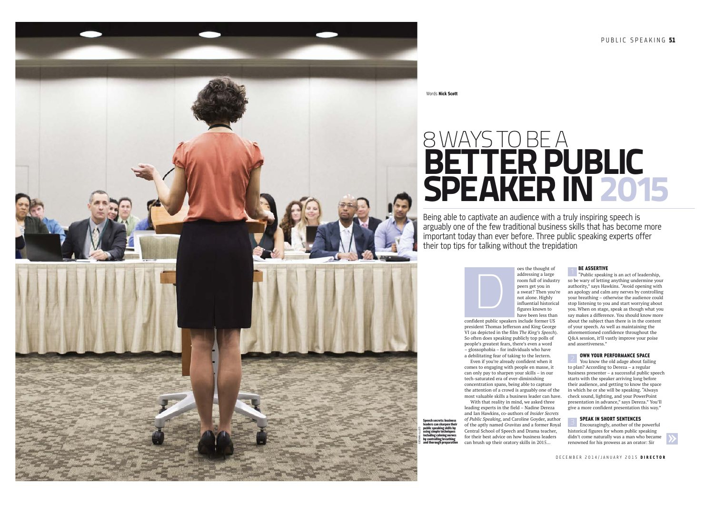PUBLIC SPEAKING 51



Words Nick Scott

sch cacrate: bus ders can sharpen t public speaking skills by

# 8 WAYS TO BE A<br>**BETTER PUBLIC** SPEAKER IN 2015

Being able to captivate an audience with a truly inspiring speech is arguably one of the few traditional business skills that has become more important today than ever before. Three public speaking experts offer their top tips for talking without the trepidation



confident public speakers include former US president Thomas Jefferson and King George VI (as depicted in the film *The King's Speech*). So often does speaking publicly top polls of people's greatest fears, there's even a word – glossophobia – for individuals who have a debilitating fear of taking to the lectern.

Even if you're already confident when it comes to engaging with people en masse, it can only pay to sharpen your skills – in our tech-saturated era of ever-diminishing concentration spans, being able to capture the attention of a crowd is arguably one of the most valuable skills a business leader can have.

With that reality in mind, we asked three leading experts in the field – Nadine Dereza and Ian Hawkins, co-authors of *Insider Secrets of Public Speaking*, and Caroline Goyder, author of the aptly named *Gravitas* and a former Royal Central School of Speech and Drama teacher, for their best advice on how business leaders can brush up their oratory skills in 2015…

#### **BE ASSERTIVE**

"Public speaking is an act of leadership, so be wary of letting anything undermine your authority," says Hawkins. "Avoid opening with an apology and calm any nerves by controlling your breathing – otherwise the audience could stop listening to you and start worrying about you. When on stage, speak as though what you say makes a difference. You should know more about the subject than there is in the content of your speech. As well as maintaining the aforementioned confidence throughout the Q&A session, it'll vastly improve your poise and assertiveness." **EXECTS ASSEMITE SECTS ASSEMINATES ASSEMINATES ASSEMINATES AND SURVENTS AND SURVENTS AND SURVENTS AND SURVENTS AND SURVENTS AND SURVENTS AND INSTEMINATES AND INSTEMINATES AND INSTEMINATES ASSOCIUM MARRY DISCONSIBLY AND SU** 

### OWN YOUR PERFORMANCE SPACE

You know the old adage about failing to plan? According to Dereza – a regular business presenter – a successful public speech starts with the speaker arriving long before their audience, and getting to know the space in which he or she will be speaking. "Always check sound, lighting, and your PowerPoint presentation in advance," says Dereza." You'll give a more confident presentation this way."

#### SPEAK IN SHORT SENTENCES

Encouragingly, another of the powerful historical figures for whom public speaking didn't come naturally was a man who became

DECEMBER 2014/JANUARY 2015 DIRECTOR